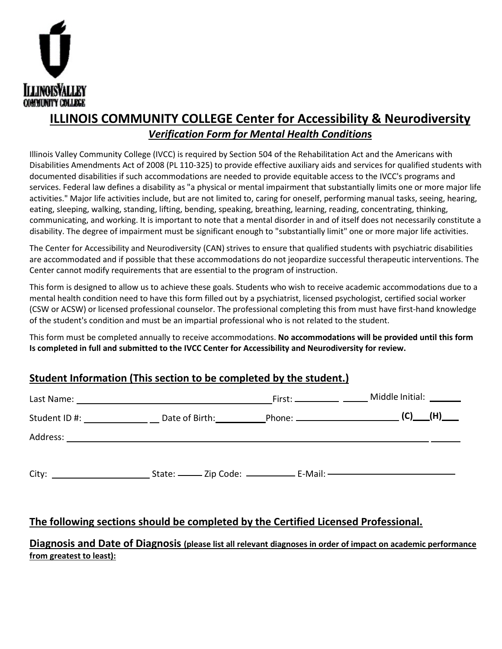

# *Verification Form for Mental Health Condition***s**

## **Student Information (This section to be completed by the student.)**

|                          | <b>ILLINOIS COMMUNITY COLLEGE Center for Accessibility &amp; Neurodiversity</b>                                                                                                                                                                                                                                                                                                                                                                                                                                                                                                                                                                                                                                                                                                                                                                                                                                                                                                                                                 |  |  |
|--------------------------|---------------------------------------------------------------------------------------------------------------------------------------------------------------------------------------------------------------------------------------------------------------------------------------------------------------------------------------------------------------------------------------------------------------------------------------------------------------------------------------------------------------------------------------------------------------------------------------------------------------------------------------------------------------------------------------------------------------------------------------------------------------------------------------------------------------------------------------------------------------------------------------------------------------------------------------------------------------------------------------------------------------------------------|--|--|
|                          | <b>Verification Form for Mental Health Conditions</b>                                                                                                                                                                                                                                                                                                                                                                                                                                                                                                                                                                                                                                                                                                                                                                                                                                                                                                                                                                           |  |  |
|                          | Illinois Valley Community College (IVCC) is required by Section 504 of the Rehabilitation Act and the Americans with<br>Disabilities Amendments Act of 2008 (PL 110-325) to provide effective auxiliary aids and services for qualified students w<br>documented disabilities if such accommodations are needed to provide equitable access to the IVCC's programs and<br>services. Federal law defines a disability as "a physical or mental impairment that substantially limits one or more major<br>activities." Major life activities include, but are not limited to, caring for oneself, performing manual tasks, seeing, hearin<br>eating, sleeping, walking, standing, lifting, bending, speaking, breathing, learning, reading, concentrating, thinking,<br>communicating, and working. It is important to note that a mental disorder in and of itself does not necessarily constitut<br>disability. The degree of impairment must be significant enough to "substantially limit" one or more major life activities. |  |  |
|                          | The Center for Accessibility and Neurodiversity (CAN) strives to ensure that qualified students with psychiatric disabilitie<br>are accommodated and if possible that these accommodations do not jeopardize successful therapeutic interventions. T<br>Center cannot modify requirements that are essential to the program of instruction.                                                                                                                                                                                                                                                                                                                                                                                                                                                                                                                                                                                                                                                                                     |  |  |
|                          | This form is designed to allow us to achieve these goals. Students who wish to receive academic accommodations due to<br>mental health condition need to have this form filled out by a psychiatrist, licensed psychologist, certified social worker<br>(CSW or ACSW) or licensed professional counselor. The professional completing this from must have first-hand knowledg<br>of the student's condition and must be an impartial professional who is not related to the student.                                                                                                                                                                                                                                                                                                                                                                                                                                                                                                                                            |  |  |
|                          | This form must be completed annually to receive accommodations. No accommodations will be provided until this forn<br>Is completed in full and submitted to the IVCC Center for Accessibility and Neurodiversity for review.                                                                                                                                                                                                                                                                                                                                                                                                                                                                                                                                                                                                                                                                                                                                                                                                    |  |  |
|                          | <b>Student Information (This section to be completed by the student.)</b>                                                                                                                                                                                                                                                                                                                                                                                                                                                                                                                                                                                                                                                                                                                                                                                                                                                                                                                                                       |  |  |
|                          |                                                                                                                                                                                                                                                                                                                                                                                                                                                                                                                                                                                                                                                                                                                                                                                                                                                                                                                                                                                                                                 |  |  |
|                          |                                                                                                                                                                                                                                                                                                                                                                                                                                                                                                                                                                                                                                                                                                                                                                                                                                                                                                                                                                                                                                 |  |  |
|                          |                                                                                                                                                                                                                                                                                                                                                                                                                                                                                                                                                                                                                                                                                                                                                                                                                                                                                                                                                                                                                                 |  |  |
|                          |                                                                                                                                                                                                                                                                                                                                                                                                                                                                                                                                                                                                                                                                                                                                                                                                                                                                                                                                                                                                                                 |  |  |
|                          | The following sections should be completed by the Certified Licensed Professional.<br>Diagnosis and Date of Diagnosis (please list all relevant diagnoses in order of impact on academic performand                                                                                                                                                                                                                                                                                                                                                                                                                                                                                                                                                                                                                                                                                                                                                                                                                             |  |  |
| from greatest to least): |                                                                                                                                                                                                                                                                                                                                                                                                                                                                                                                                                                                                                                                                                                                                                                                                                                                                                                                                                                                                                                 |  |  |

# **The following sections should be completed by the Certified Licensed Professional.**

 **Diagnosis and Date of Diagnosis (please list all relevant diagnoses in order of impact on academic performance from greatest to least):**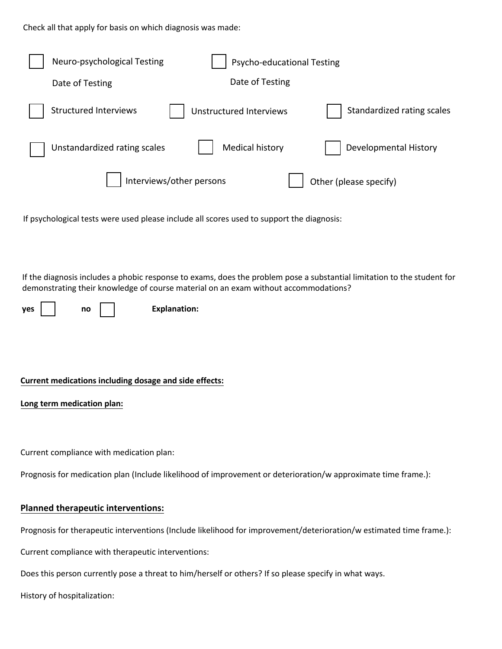Check all that apply for basis on which diagnosis was made:

| Check all that apply for basis on which diagnosis was made:                                                                                                                                                                                       |
|---------------------------------------------------------------------------------------------------------------------------------------------------------------------------------------------------------------------------------------------------|
| Neuro-psychological Testing<br>Psycho-educational Testing                                                                                                                                                                                         |
| Date of Testing<br>Date of Testing                                                                                                                                                                                                                |
| <b>Structured Interviews</b><br>Standardized rating scales<br><b>Unstructured Interviews</b>                                                                                                                                                      |
| <b>Medical history</b><br>Developmental History<br>Unstandardized rating scales                                                                                                                                                                   |
| Interviews/other persons<br>Other (please specify)                                                                                                                                                                                                |
| If psychological tests were used please include all scores used to support the diagnosis:                                                                                                                                                         |
| If the diagnosis includes a phobic response to exams, does the problem pose a substantial limitation to the student fo<br>demonstrating their knowledge of course material on an exam without accommodations?<br><b>Explanation:</b><br>yes<br>no |
| Current medications including dosage and side effects:                                                                                                                                                                                            |
| Long term medication plan:                                                                                                                                                                                                                        |
| Current compliance with medication plan:                                                                                                                                                                                                          |
| Prognosis for medication plan (Include likelihood of improvement or deterioration/w approximate time frame.):                                                                                                                                     |
| Planned therapeutic interventions:                                                                                                                                                                                                                |
| Prognosis for therapeutic interventions (Include likelihood for improvement/deterioration/w estimated time frame.):                                                                                                                               |
| Current compliance with therapeutic interventions:                                                                                                                                                                                                |
| Does this person currently pose a threat to him/herself or others? If so please specify in what ways.                                                                                                                                             |
| History of hospitalization:                                                                                                                                                                                                                       |

### **Current medications including dosage and side effects:**

#### **Planned therapeutic interventions:**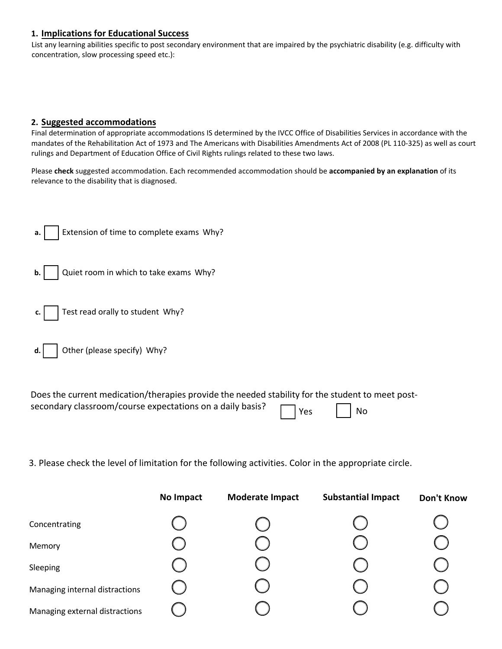#### **1. Implications for Educational Success**

#### **2. Suggested accommodations**

| No Impact                                                                                                                                                                                                                                                                                                                                                                                                | <b>Moderate Impact</b> | <b>Substantial Impact</b> | Don't Know |
|----------------------------------------------------------------------------------------------------------------------------------------------------------------------------------------------------------------------------------------------------------------------------------------------------------------------------------------------------------------------------------------------------------|------------------------|---------------------------|------------|
| 3. Please check the level of limitation for the following activities. Color in the appropriate circle.                                                                                                                                                                                                                                                                                                   |                        |                           |            |
| Does the current medication/therapies provide the needed stability for the student to meet post-<br>secondary classroom/course expectations on a daily basis?                                                                                                                                                                                                                                            | Yes                    | No                        |            |
| Other (please specify) Why?                                                                                                                                                                                                                                                                                                                                                                              |                        |                           |            |
| Test read orally to student Why?                                                                                                                                                                                                                                                                                                                                                                         |                        |                           |            |
| Quiet room in which to take exams Why?                                                                                                                                                                                                                                                                                                                                                                   |                        |                           |            |
| Extension of time to complete exams Why?                                                                                                                                                                                                                                                                                                                                                                 |                        |                           |            |
| Please check suggested accommodation. Each recommended accommodation should be accompanied by an explanation of its<br>relevance to the disability that is diagnosed.                                                                                                                                                                                                                                    |                        |                           |            |
| 2. Suggested accommodations<br>Final determination of appropriate accommodations IS determined by the IVCC Office of Disabilities Services in accordance with the<br>mandates of the Rehabilitation Act of 1973 and The Americans with Disabilities Amendments Act of 2008 (PL 110-325) as well as cour<br>rulings and Department of Education Office of Civil Rights rulings related to these two laws. |                        |                           |            |
|                                                                                                                                                                                                                                                                                                                                                                                                          |                        |                           |            |
| concentration, slow processing speed etc.):                                                                                                                                                                                                                                                                                                                                                              |                        |                           |            |
| 1. Implications for Educational Success<br>List any learning abilities specific to post secondary environment that are impaired by the psychiatric disability (e.g. difficulty with                                                                                                                                                                                                                      |                        |                           |            |

| Concentrating                  |  |  |
|--------------------------------|--|--|
| Memory                         |  |  |
| Sleeping                       |  |  |
| Managing internal distractions |  |  |
| Managing external distractions |  |  |